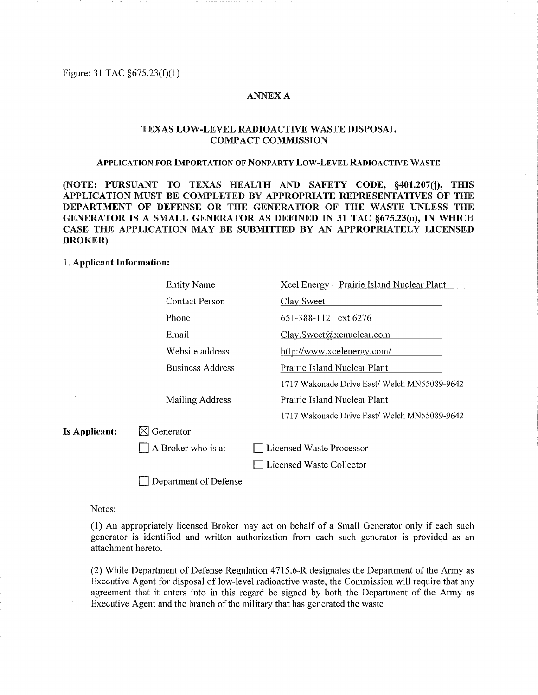Figure: 31 TAC  $§675.23(f)(1)$ 

## **ANNEX A**

# TEXAS LOW-LEVEL RADIOACTIVE WASTE DISPOSAL COMPACT COMMISSION

## APPLICATION FOR IMPORTATION OF NONPARTY LOW-LEVEL RADIOACTIVE WASTE

(NOTE: PURSUANT TO TEXAS HEALTH AND SAFETY CODE, §401.207(j), THIS APPLICATION MUST BE COMPLETED BY APPROPRIATE REPRESENTATIVES OF THE RIMENT OF DEFENSE OR THE GENERATIOR OF THE WASTE UNE<br>RATOR IS A SMALL GENERATOR AS DEFINED IN 31 TAC §675.23(0), IN BROKER)

## 1. Applicant Information:

|               | <b>Entity Name</b>      | Xcel Energy – Prairie Island Nuclear Plant   |
|---------------|-------------------------|----------------------------------------------|
|               | <b>Contact Person</b>   | Clay Sweet                                   |
|               | Phone                   | 651-388-1121 ext 6276                        |
|               | Email                   | Clay.Sweet@xenuclear.com                     |
|               | Website address         | http://www.xcelenergy.com/                   |
|               | <b>Business Address</b> | Prairie Island Nuclear Plant                 |
|               |                         | 1717 Wakonade Drive East/ Welch MN55089-9642 |
|               | Mailing Address         | Prairie Island Nuclear Plant                 |
|               |                         | 1717 Wakonade Drive East/ Welch MN55089-9642 |
| Is Applicant: | $\boxtimes$ Generator   |                                              |
|               | A Broker who is a:      | Licensed Waste Processor                     |
|               |                         | Licensed Waste Collector                     |
|               | Department of Defense   |                                              |

Notes:

(1) An appropriately licensed Broker may act on behalf of a Small Generator only if each such generator is identified and written authorization from each such generator is provided as an attachment hereto.

(2) While Department of Defense Regulation 4715.6-R designates the Department of the Army as Executive Agent for disposal of low-level radioactive waste, the Commission will require that any agreement that it enters into in this regard be signed by both the Department of the Army as Executive Agent and the branch of the military that has generated the waste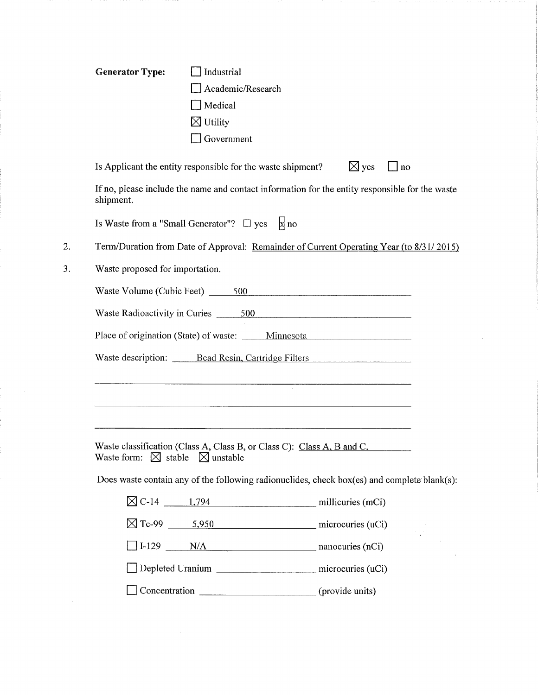| <b>Generator Type:</b>                              | Industrial<br>Academic/Research<br>$\Box$ Medical<br>$\boxtimes$ Utility<br>$\Box$ Government |                                                                                                                       |           |
|-----------------------------------------------------|-----------------------------------------------------------------------------------------------|-----------------------------------------------------------------------------------------------------------------------|-----------|
|                                                     | Is Applicant the entity responsible for the waste shipment?                                   | $\boxtimes$ yes                                                                                                       | $\Box$ no |
| shipment.                                           |                                                                                               | If no, please include the name and contact information for the entity responsible for the waste                       |           |
|                                                     | Is Waste from a "Small Generator"? $\Box$ yes                                                 | $ x $ no                                                                                                              |           |
|                                                     |                                                                                               | Term/Duration from Date of Approval: Remainder of Current Operating Year (to 8/31/2015)                               |           |
| Waste proposed for importation.                     |                                                                                               |                                                                                                                       |           |
|                                                     |                                                                                               | Waste Volume (Cubic Feet) 500                                                                                         |           |
|                                                     |                                                                                               |                                                                                                                       |           |
|                                                     |                                                                                               | Place of origination (State) of waste: _____ Minnesota _________________________                                      |           |
|                                                     |                                                                                               | Waste description: Bead Resin, Cartridge Filters                                                                      |           |
|                                                     |                                                                                               |                                                                                                                       |           |
|                                                     |                                                                                               | <u> La componenta de la componenta de la componenta de la componenta de la componenta de la componenta de la comp</u> |           |
|                                                     |                                                                                               |                                                                                                                       |           |
| Waste form: $\boxtimes$ stable $\boxtimes$ unstable |                                                                                               | Waste classification (Class A, Class B, or Class C): Class A, B and C.                                                |           |
|                                                     |                                                                                               | Does waste contain any of the following radionuclides, check box(es) and complete blank(s):                           |           |
|                                                     |                                                                                               |                                                                                                                       |           |
|                                                     |                                                                                               |                                                                                                                       |           |
|                                                     |                                                                                               | $\Box$ I-129 $\Box$ N/A nanocuries (nCi)                                                                              |           |
|                                                     |                                                                                               | Depleted Uranium ______________________ microcuries (uCi)                                                             |           |
|                                                     |                                                                                               | Concentration _____________________________(provide units)                                                            |           |
|                                                     |                                                                                               |                                                                                                                       |           |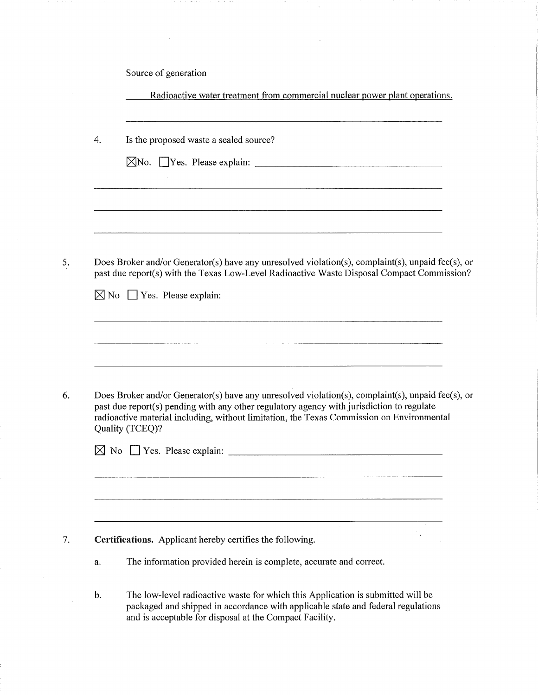Source of generation

 $\sim$ 

k,

|               | Radioactive water treatment from commercial nuclear power plant operations.                                                                                                                                                                                                                                    |
|---------------|----------------------------------------------------------------------------------------------------------------------------------------------------------------------------------------------------------------------------------------------------------------------------------------------------------------|
| 4.            | Is the proposed waste a sealed source?                                                                                                                                                                                                                                                                         |
|               |                                                                                                                                                                                                                                                                                                                |
|               |                                                                                                                                                                                                                                                                                                                |
|               | Does Broker and/or Generator(s) have any unresolved violation(s), complaint(s), unpaid fee(s), or<br>past due report(s) with the Texas Low-Level Radioactive Waste Disposal Compact Commission?                                                                                                                |
|               | $\boxtimes$ No $\Box$ Yes. Please explain:                                                                                                                                                                                                                                                                     |
|               |                                                                                                                                                                                                                                                                                                                |
|               | Does Broker and/or Generator(s) have any unresolved violation(s), complaint(s), unpaid fee(s), or<br>past due report(s) pending with any other regulatory agency with jurisdiction to regulate<br>radioactive material including, without limitation, the Texas Commission on Environmental<br>Quality (TCEQ)? |
|               | $\boxtimes$ No $\Box$ Yes. Please explain: $\Box$                                                                                                                                                                                                                                                              |
|               |                                                                                                                                                                                                                                                                                                                |
|               | Certifications. Applicant hereby certifies the following.                                                                                                                                                                                                                                                      |
| a.            | The information provided herein is complete, accurate and correct.                                                                                                                                                                                                                                             |
| $\mathbf b$ . | The low-level radioactive waste for which this Application is submitted will be<br>packaged and shipped in accordance with applicable state and federal regulations<br>and is acceptable for disposal at the Compact Facility.                                                                                 |

 $\beta$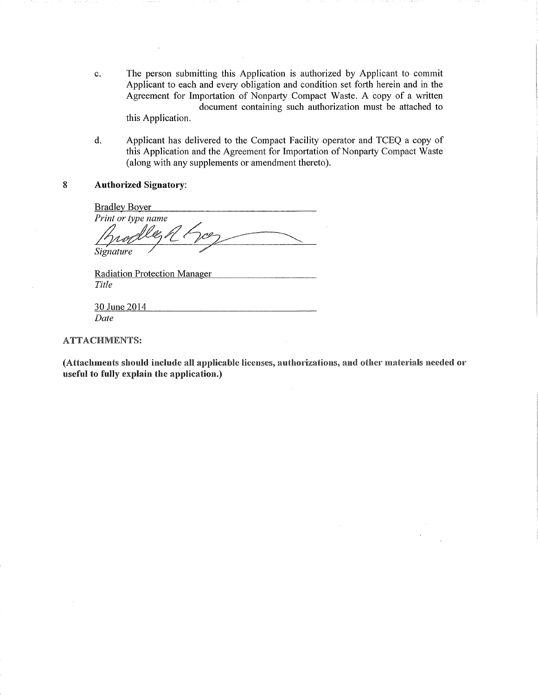- The person submitting this Application is authorized by Applicant to commit  $\mathbf{c}$ . Applicant to each and every obligation and condition set forth herein and in the Agreement for Importation of Nonparty Compact Waste. A copy of a written document containing such authorization must be attached to this Application.
- d. Applicant has delivered to the Compact Facility operator and TCEQ a copy of this Application and the Agreement for Importation of Nonparty Compact Waste (along with any supplements or amendment thereto).
- 8 Authorized Signatory:

Bradley Boyer  $~^{e}$ Print or type name 'V o Signature

Radiation Protection Manager Title

30 June 2014 Date

ATTACHMENTS:

(Attachments should include all applicable licenses, authorizations, and other materials needed or useful to fully explain the application.)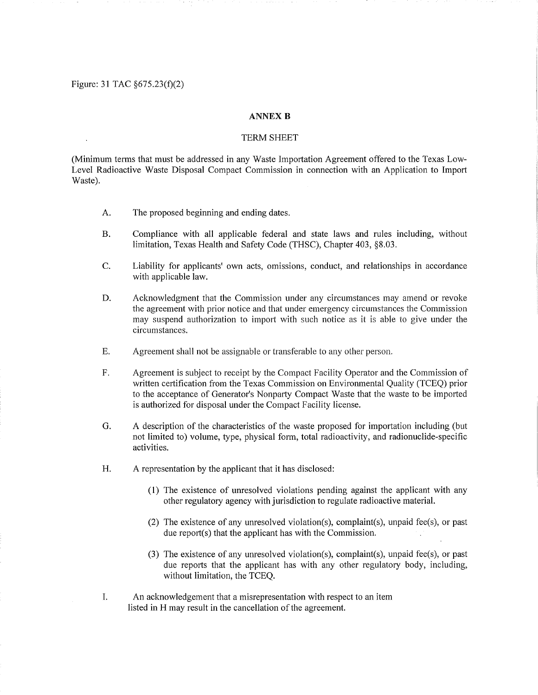Figure: 31 TAC  $\S 675.23(f)(2)$ 

# **ANNEX B**

## TERM SHEET

(Minimum terms that must be addressed in any Waste Importation Agreement offered to the Texas Low-Level Radioactive Waste Disposal Compact Commission in connection with an Application to Import Waste).

- A. The proposed beginning and ending dates.
- B. Compliance with all applicable federal and state laws and rules including, without limitation, Texas Health and Safety Code (THSC), Chapter 403, §8.03.
- C. Liability for applicants' own acts, omissions, conduct, and relationships in accordance with applicable law.
- D. Acknowledgment that the Commission under any circumstances may amend or revoke the agreement with prior notice and that under emergency circumstances the Commission may suspend authorization to import with such notice as it is able to give under the circumstances.
- E. Agreement shall not be assignable or transferable to any other person.
- F. Agreement is subject to receipt by the Compact Facility Operator and the Commission of written certification from the Texas Commission on Enviromnental Quality (TCEQ) prior to the acceptance of Generator's Nonparty Compact Waste that the waste to be imported is authorized for disposal under the Compact Facility license.
- G. A description of the characteristics of the waste proposed for importation including (but not limited to) volume, type, physical form, total radioactivity, and radionuclide-specific activities.
- H. A representation by the applicant that it has disclosed:
	- (1) The existence of unresolved violations pending against the applicant with any other regulatory agency with jurisdiction to regulate radioactive material.
	- (2) The existence of any unresolved violation(s), complaint(s), unpaid fee(s), or past due report(s) that the applicant has with the Commission.
	- (3) The existence of any unresolved violation(s), complaint(s), unpaid feels), or past due reports that the applicant has with any other regulatory body, including, without limitation, the TCEQ.
- I. An acknowledgement that a misrepresentation with respect to an item listed in H may result in the cancellation of the agreement.